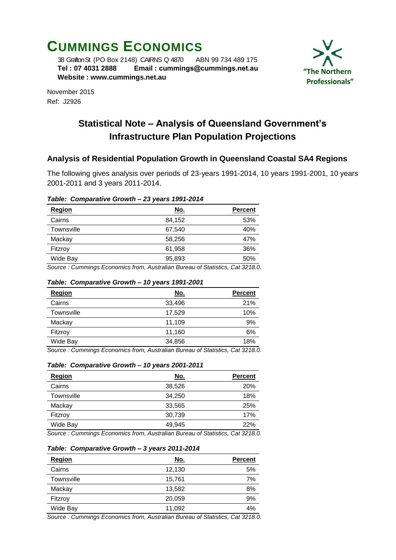# **CUMMINGS ECONOMICS**

 38 Grafton St (PO Box 2148) CAIRNS Q 4870 ABN 99 734 489 175  **Tel : 07 4031 2888 Email : [cummings@cummings.net.au](mailto:cummings@cummings.net.au) Website : www.cummings.net.au**



November 2015 Ref: J2926

# **Statistical Note – Analysis of Queensland Government's Infrastructure Plan Population Projections**

## **Analysis of Residential Population Growth in Queensland Coastal SA4 Regions**

The following gives analysis over periods of 23-years 1991-2014, 10 years 1991-2001, 10 years 2001-2011 and 3 years 2011-2014.

#### *Table: Comparative Growth – 23 years 1991-2014*

| <b>Region</b> | <u>No.</u> | <b>Percent</b> |
|---------------|------------|----------------|
| Cairns        | 84,152     | 53%            |
| Townsville    | 67.540     | 40%            |
| Mackay        | 58.256     | 47%            |
| Fitzroy       | 61,958     | 36%            |
| Wide Bay      | 95,893     | 50%            |
| $\sim$        |            | .<br>_ _ _ _   |

*Source : Cummings Economics from, Australian Bureau of Statistics, Cat 3218.0.*

#### *Table: Comparative Growth – 10 years 1991-2001*

| Region                                 | No.         | <b>Percent</b>                                      |
|----------------------------------------|-------------|-----------------------------------------------------|
| Cairns                                 | 33,496      | 21%                                                 |
| Townsville                             | 17.529      | 10%                                                 |
| Mackay                                 | 11,109      | 9%                                                  |
| Fitzroy                                | 11,160      | 6%                                                  |
| Wide Bay                               | 34,856      | 18%                                                 |
| ٠<br>٠<br>$\sim$ $\sim$<br>$\sim$<br>- | $\sim$<br>. | $\sim$ $\sim$ $\sim$<br>$\sim$ $\sim$ $\sim$ $\sim$ |

*Source : Cummings Economics from, Australian Bureau of Statistics, Cat 3218.0.*

#### *Table: Comparative Growth – 10 years 2001-2011*

| <b>Region</b> | <u>No.</u> | <b>Percent</b> |
|---------------|------------|----------------|
| Cairns        | 38,526     | 20%            |
| Townsville    | 34,250     | 18%            |
| Mackay        | 33,565     | 25%            |
| Fitzroy       | 30,739     | 17%            |
| Wide Bay      | 49,945     | 22%            |

*Source : Cummings Economics from, Australian Bureau of Statistics, Cat 3218.0.*

#### *Table: Comparative Growth – 3 years 2011-2014*

| Region     | <u>No.</u> | <b>Percent</b> |
|------------|------------|----------------|
| Cairns     | 12,130     | 5%             |
| Townsville | 15,761     | 7%             |
| Mackay     | 13,582     | 8%             |
| Fitzroy    | 20,059     | 9%             |
| Wide Bay   | 11,092     | 4%             |

*Source : Cummings Economics from, Australian Bureau of Statistics, Cat 3218.0.*